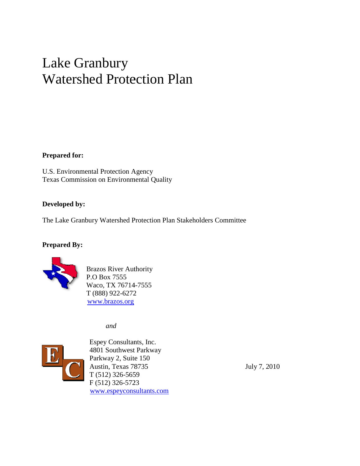# Lake Granbury Watershed Protection Plan

#### **Prepared for:**

U.S. Environmental Protection Agency Agency Texas Commission on Environmental Quality

#### **Developed by:**

The Lake Granbury Watershed Protection Plan Stakeholders Committee

#### **Prepared By:**



Brazos River Authority P.O Box 7555 Waco, TX 76714-7555 T (888) 922-6272 www.brazos.org ` (888) 922-6272<br>www.brazos.org<br>*and*<br>Espey Consultants, Inc. Commission on Environmental Quality<br>
oped by:<br>
ke Granbury Watershed Protection Plan Stakeholders Committee<br>
red By:<br>
Brazos River Authority<br>
P.O Box 7555<br>
Waco, TX 76714-7555

*and* 



4801 Southwest Parkway Parkway Parkway 2, Suite 150 Austin, Texas 787 T (512) 326-5659 5659 F (512) 326-5723 www.espeyconsultants.com is 78735<br>5659<br>5723

July 7, 2010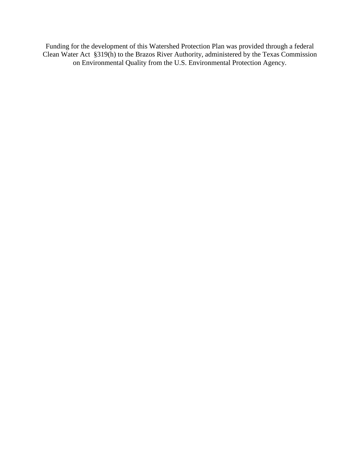Funding for the development of this Watershed Protection Plan was provided through a federal Clean Water Act §319(h) to the Brazos River Authority, administered by the Texas Commission on Environmental Quality from the U.S. Environmental Protection Agency.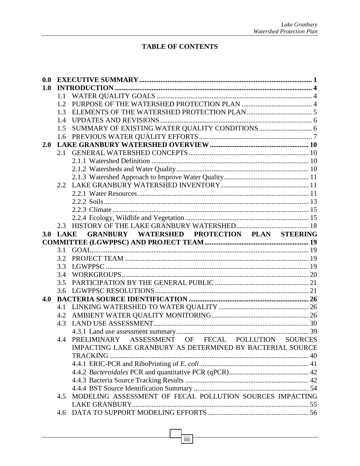## **TABLE OF CONTENTS**

| 0.0 |             |                                                           |  |
|-----|-------------|-----------------------------------------------------------|--|
| 1.0 |             |                                                           |  |
|     | 1.1         |                                                           |  |
|     | 1.2         |                                                           |  |
|     | 1.3         |                                                           |  |
|     | 1.4         |                                                           |  |
|     | 1.5         |                                                           |  |
|     | 1.6         |                                                           |  |
| 2.0 |             |                                                           |  |
|     | 2.1         |                                                           |  |
|     |             |                                                           |  |
|     |             |                                                           |  |
|     |             |                                                           |  |
|     | 2.2         |                                                           |  |
|     |             |                                                           |  |
|     |             |                                                           |  |
|     |             |                                                           |  |
|     |             |                                                           |  |
|     |             |                                                           |  |
| 3.0 | <b>LAKE</b> | GRANBURY WATERSHED PROTECTION PLAN STEERING               |  |
|     |             |                                                           |  |
|     | 3.1         |                                                           |  |
|     | 3.2         |                                                           |  |
|     | 3.3         |                                                           |  |
|     | 3.4         |                                                           |  |
|     | 3.5         |                                                           |  |
|     | 3.6         |                                                           |  |
| 4.0 |             |                                                           |  |
|     | 4.1         |                                                           |  |
|     | 4.2         |                                                           |  |
|     | 4.3         |                                                           |  |
|     |             |                                                           |  |
|     | 4.4         | PRELIMINARY ASSESSMENT OF FECAL POLLUTION SOURCES         |  |
|     |             | IMPACTING LAKE GRANBURY AS DETERMINED BY BACTERIAL SOURCE |  |
|     |             |                                                           |  |
|     |             |                                                           |  |
|     |             |                                                           |  |
|     |             |                                                           |  |
|     |             |                                                           |  |
|     | 4.5         | MODELING ASSESSMENT OF FECAL POLLUTION SOURCES IMPACTING  |  |
|     |             |                                                           |  |
|     |             |                                                           |  |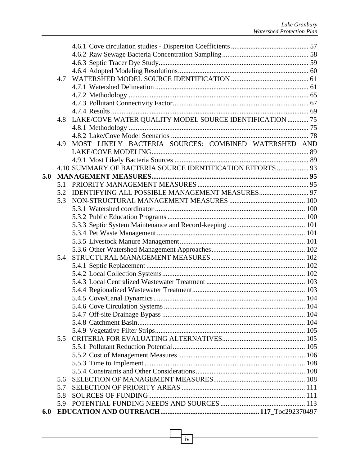|     | 4.7 |                                                            |  |
|-----|-----|------------------------------------------------------------|--|
|     |     |                                                            |  |
|     |     |                                                            |  |
|     |     |                                                            |  |
|     |     |                                                            |  |
|     | 4.8 | LAKE/COVE WATER QUALITY MODEL SOURCE IDENTIFICATION  75    |  |
|     |     |                                                            |  |
|     |     |                                                            |  |
|     | 4.9 | MOST LIKELY BACTERIA SOURCES: COMBINED WATERSHED AND       |  |
|     |     |                                                            |  |
|     |     |                                                            |  |
|     |     | 4.10 SUMMARY OF BACTERIA SOURCE IDENTIFICATION EFFORTS  93 |  |
| 5.0 |     |                                                            |  |
|     | 5.1 |                                                            |  |
|     | 5.2 |                                                            |  |
|     | 5.3 |                                                            |  |
|     |     |                                                            |  |
|     |     |                                                            |  |
|     |     |                                                            |  |
|     |     |                                                            |  |
|     |     |                                                            |  |
|     |     |                                                            |  |
|     | 5.4 |                                                            |  |
|     |     |                                                            |  |
|     |     |                                                            |  |
|     |     |                                                            |  |
|     |     |                                                            |  |
|     |     |                                                            |  |
|     |     |                                                            |  |
|     |     |                                                            |  |
|     |     |                                                            |  |
|     |     |                                                            |  |
|     | 5.5 |                                                            |  |
|     |     |                                                            |  |
|     |     |                                                            |  |
|     |     |                                                            |  |
|     |     |                                                            |  |
|     | 5.6 |                                                            |  |
|     | 5.7 |                                                            |  |
|     | 5.8 |                                                            |  |
|     | 5.9 |                                                            |  |
| 6.0 |     |                                                            |  |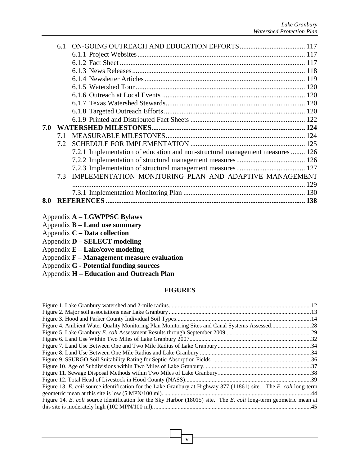|     | 6.1              |                                                                               |     |
|-----|------------------|-------------------------------------------------------------------------------|-----|
|     |                  |                                                                               |     |
|     |                  |                                                                               |     |
|     |                  |                                                                               |     |
|     |                  |                                                                               |     |
|     |                  |                                                                               |     |
|     |                  |                                                                               |     |
|     |                  |                                                                               |     |
|     |                  |                                                                               |     |
|     |                  |                                                                               |     |
| 7.0 |                  |                                                                               |     |
|     | 7.1              |                                                                               |     |
|     | 7.2 <sub>1</sub> |                                                                               |     |
|     |                  | 7.2.1 Implementation of education and non-structural management measures  126 |     |
|     |                  |                                                                               |     |
|     |                  |                                                                               |     |
|     | 7.3              | IMPLEMENTATION MONITORING PLAN AND ADAPTIVE MANAGEMENT                        |     |
|     |                  |                                                                               | 129 |
|     |                  |                                                                               |     |
| 8.0 |                  |                                                                               |     |
|     |                  |                                                                               |     |

- Appendix **A LGWPPSC Bylaws**
- Appendix **B Land use summary**
- Appendix **C Data collection**
- Appendix **D SELECT modeling**
- Appendix **E Lake/cove modeling**
- Appendix **F Management measure evaluation**
- Appendix **G Potential funding sources**
- Appendix **H Education and Outreach Plan**

#### **FIGURES**

| Figure 4. Ambient Water Quality Monitoring Plan Monitoring Sites and Canal Systems Assessed28                     |  |
|-------------------------------------------------------------------------------------------------------------------|--|
|                                                                                                                   |  |
|                                                                                                                   |  |
|                                                                                                                   |  |
|                                                                                                                   |  |
|                                                                                                                   |  |
|                                                                                                                   |  |
|                                                                                                                   |  |
|                                                                                                                   |  |
| Figure 13. E. coli source identification for the Lake Granbury at Highway 377 (11861) site. The E. coli long-term |  |
|                                                                                                                   |  |
| Figure 14. E. coli source identification for the Sky Harbor (18015) site. The E. coli long-term geometric mean at |  |
|                                                                                                                   |  |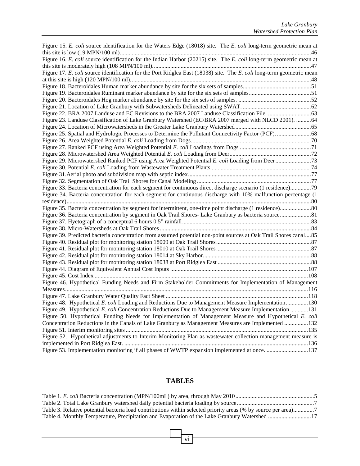| Figure 15. E. coli source identification for the Waters Edge (18018) site. The E. coli long-term geometric mean at    |  |
|-----------------------------------------------------------------------------------------------------------------------|--|
|                                                                                                                       |  |
| Figure 16. E. coli source identification for the Indian Harbor (20215) site. The E. coli long-term geometric mean at  |  |
|                                                                                                                       |  |
| Figure 17. E. coli source identification for the Port Ridglea East (18038) site. The E. coli long-term geometric mean |  |
|                                                                                                                       |  |
|                                                                                                                       |  |
|                                                                                                                       |  |
|                                                                                                                       |  |
|                                                                                                                       |  |
|                                                                                                                       |  |
| Figure 23. Landuse Classification of Lake Granbury Watershed (EC/BRA 2007 merged with NLCD 2001). 64                  |  |
|                                                                                                                       |  |
|                                                                                                                       |  |
|                                                                                                                       |  |
|                                                                                                                       |  |
|                                                                                                                       |  |
|                                                                                                                       |  |
|                                                                                                                       |  |
|                                                                                                                       |  |
|                                                                                                                       |  |
| Figure 33. Bacteria concentration for each segment for continuous direct discharge scenario (1 residence)79           |  |
| Figure 34. Bacteria concentration for each segment for continuous discharge with 10% malfunction percentage (1        |  |
|                                                                                                                       |  |
|                                                                                                                       |  |
|                                                                                                                       |  |
|                                                                                                                       |  |
|                                                                                                                       |  |
| Figure 39. Predicted bacteria concentration from assumed potential non-point sources at Oak Trail Shores canal85      |  |
|                                                                                                                       |  |
|                                                                                                                       |  |
|                                                                                                                       |  |
|                                                                                                                       |  |
|                                                                                                                       |  |
|                                                                                                                       |  |
| Figure 46. Hypothetical Funding Needs and Firm Stakeholder Commitments for Implementation of Management               |  |
|                                                                                                                       |  |
|                                                                                                                       |  |
| Figure 48. Hypothetical E. coli Loading and Reductions Due to Management Measure Implementation130                    |  |
| Figure 49. Hypothetical E. coli Concentration Reductions Due to Management Measure Implementation 131                 |  |
| Figure 50. Hypothetical Funding Needs for Implementation of Management Measure and Hypothetical E. coli               |  |
| Concentration Reductions in the Canals of Lake Granbury as Management Measures are Implemented 132                    |  |
|                                                                                                                       |  |
| Figure 52. Hypothetical adjustments to Interim Monitoring Plan as wastewater collection management measure is         |  |
|                                                                                                                       |  |
| Figure 53. Implementation monitoring if all phases of WWTP expansion implemented at once. 137                         |  |

### **TABLES**

| Table 3. Relative potential bacteria load contributions within selected priority areas (% by source per area)7 |  |
|----------------------------------------------------------------------------------------------------------------|--|
| Table 4. Monthly Temperature, Precipitation and Evaporation of the Lake Granbury Watershed 17                  |  |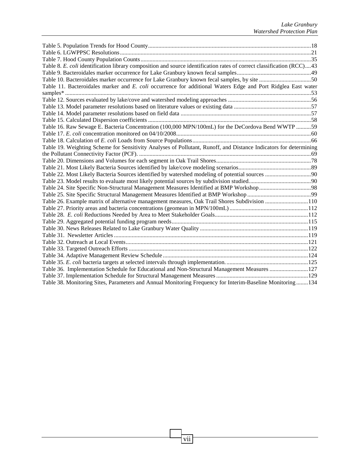| Table 8. E. coli identification library composition and source identification rates of correct classification (RCC)43 |  |
|-----------------------------------------------------------------------------------------------------------------------|--|
|                                                                                                                       |  |
| Table 10. Bacteroidales marker occurrence for Lake Granbury known fecal samples, by site 50                           |  |
| Table 11. Bacteroidales marker and E. coli occurrence for additional Waters Edge and Port Ridglea East water          |  |
|                                                                                                                       |  |
|                                                                                                                       |  |
|                                                                                                                       |  |
|                                                                                                                       |  |
|                                                                                                                       |  |
| Table 16. Raw Sewage E. Bacteria Concentration (100,000 MPN/100mL) for the DeCordova Bend WWTP 59                     |  |
|                                                                                                                       |  |
|                                                                                                                       |  |
| Table 19. Weighting Scheme for Sensitivity Analyses of Pollutant, Runoff, and Distance Indicators for determining     |  |
|                                                                                                                       |  |
|                                                                                                                       |  |
|                                                                                                                       |  |
|                                                                                                                       |  |
|                                                                                                                       |  |
|                                                                                                                       |  |
|                                                                                                                       |  |
| Table 26. Example matrix of alternative management measures, Oak Trail Shores Subdivision 110                         |  |
|                                                                                                                       |  |
|                                                                                                                       |  |
|                                                                                                                       |  |
|                                                                                                                       |  |
|                                                                                                                       |  |
|                                                                                                                       |  |
|                                                                                                                       |  |
|                                                                                                                       |  |
|                                                                                                                       |  |
| Table 36. Implementation Schedule for Educational and Non-Structural Management Measures 127                          |  |
|                                                                                                                       |  |
| Table 38. Monitoring Sites, Parameters and Annual Monitoring Frequency for Interim-Baseline Monitoring134             |  |